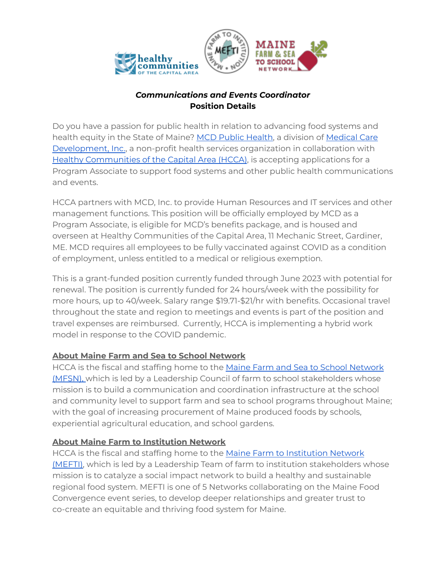



## *Communications and Events Coordinator* **Position Details**

Do you have a passion for public health in relation to advancing food systems and health equity in the State of Maine? [MCD Public Health,](https://www.mcdph.org/job-detail?id=271) a division of [Medical Care](https://www.mcd.org/) [Development, Inc.](https://www.mcd.org/), a non-profit health services organization in collaboration with [Healthy Communities of the Capital Area \(HCCA\)](https://hccame.org/), is accepting applications for a Program Associate to support food systems and other public health communications and events.

HCCA partners with MCD, Inc. to provide Human Resources and IT services and other management functions. This position will be officially employed by MCD as a Program Associate, is eligible for MCD's benefits package, and is housed and overseen at Healthy Communities of the Capital Area, 11 Mechanic Street, Gardiner, ME. MCD requires all employees to be fully vaccinated against COVID as a condition of employment, unless entitled to a medical or religious exemption.

This is a grant-funded position currently funded through June 2023 with potential for renewal. The position is currently funded for 24 hours/week with the possibility for more hours, up to 40/week. Salary range \$19.71-\$21/hr with benefits. Occasional travel throughout the state and region to meetings and events is part of the position and travel expenses are reimbursed. Currently, HCCA is implementing a hybrid work model in response to the COVID pandemic.

## **About Maine Farm and Sea to School Network**

HCCA is the fiscal and staffing home to the [Maine Farm and Sea to School Network](https://www.mainefarmtoschool.org/) [\(MFSN\),](https://www.mainefarmtoschool.org/) which is led by a Leadership Council of farm to school stakeholders whose mission is to build a communication and coordination infrastructure at the school and community level to support farm and sea to school programs throughout Maine; with the goal of increasing procurement of Maine produced foods by schools, experiential agricultural education, and school gardens.

# **About Maine Farm to Institution Network**

HCCA is the fiscal and staffing home to the [Maine Farm to Institution Network](https://www.mainefarmtoinstitution.org/) [\(MEFTI\),](https://www.mainefarmtoinstitution.org/) which is led by a Leadership Team of farm to institution stakeholders whose mission is to catalyze a social impact network to build a healthy and sustainable regional food system. MEFTI is one of 5 Networks collaborating on the Maine Food Convergence event series, to develop deeper relationships and greater trust to co-create an equitable and thriving food system for Maine.